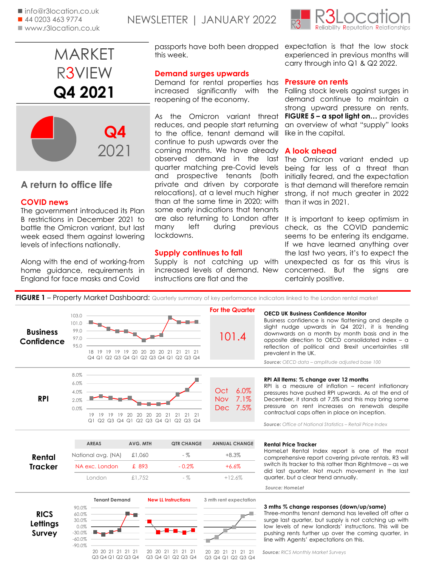

## **A return to office life**

## **COVID news**

The government introduced its Plan B restrictions in December 2021 to battle the Omicron variant, but last week eased them against lowering levels of infections nationally.

Along with the end of working-from home guidance, requirements in England for face masks and Covid

**Demand surges upwards**

reopening of the economy.

this week.

lockdowns.

passports have both been dropped

reduces, and people start returning to the office, tenant demand will continue to push upwards over the coming months. We have already

quarter matching pre-Covid levels and prospective tenants (both private and driven by corporate relocations), at a level much higher than at the same time in 2020; with some early indications that tenants

many left during previous

increased levels of demand. New

**Supply continues to fall**

instructions are flat and the

**FIGURE 1** – Property Market Dashboard: Quarterly summary of key performance indicators linked to the London rental market



expectation is that the low stock experienced in previous months will carry through into Q1 & Q2 2022.

### Demand for rental properties has **Pressure on rents**

increased significantly with the Falling stock levels against surges in As the Omicron variant threat **FIGURE 5 – a spot light on…** provides demand continue to maintain a strong upward pressure on rents. an overview of what "supply" looks like in the capital.

### **A look ahead**

observed demand in the last The Omicron variant ended up being far less of a threat than initially feared, and the expectation is that demand will therefore remain strong, if not much greater in 2022 than it was in 2021.

are also returning to London after Supply is not catching up with unexpected as far as this virus is It is important to keep optimism in check, as the COVID pandemic seems to be entering its endgame. If we have learned anything over the last two years, it's to expect the concerned. But the signs are certainly positive.

| <b>Business</b><br>Confidence     | 103.0<br>101.0<br>99.0<br>97.0<br>95.0                                                       | 18 19 19 19 19 20 20 20 20 21 21 21 21<br>Q4 Q1 Q2 Q3 Q4 Q1 Q2 Q3 Q4 Q1 Q2 Q3 Q4    |                                               | <b>For the Quarter</b><br>101.4                 | <b>OECD UK Business Confidence Monitor</b><br>Business confidence is now flattening and despite a<br>slight nudge upwards in Q4 2021, it is trending<br>downwards on a month by month basis and in the<br>opposite direction to OECD consolidated index - a<br>reflection of political and Brexit uncertainties still<br>prevalent in the UK.<br>Source: OECD data - amplitude adjusted base 100 |
|-----------------------------------|----------------------------------------------------------------------------------------------|-------------------------------------------------------------------------------------|-----------------------------------------------|-------------------------------------------------|--------------------------------------------------------------------------------------------------------------------------------------------------------------------------------------------------------------------------------------------------------------------------------------------------------------------------------------------------------------------------------------------------|
| <b>RPI</b>                        | 8.0%<br>6.0%<br>4.0%<br>2.0%<br>0.0%                                                         | 19    19    19    19    20    20    20    21<br>Q1 Q2 Q3 Q4 Q1 Q2 Q3 Q4 Q1 Q2 Q3 Q4 | 21<br>2121                                    | 6.0%<br>Oct<br>7.1%<br>Nov<br>7.5%<br>Dec       | RPI All Items: % change over 12 months<br>RPI is a measure of inflation - recent inflationary<br>pressures have pushed RPI upwards. As at the end of<br>December, it stands at 7.5% and this may bring some<br>pressure on rent increases on renewals despite<br>contractual caps often in place on inception.<br><b>Source:</b> Office of National Statistics - Retail Price Index              |
| Rental<br><b>Tracker</b>          | <b>AREAS</b>                                                                                 | AVG. MTH<br>£1,060                                                                  | <b>QTR CHANGE</b><br>$-$ %                    | <b>ANNUAL CHANGE</b><br>$+8.3%$                 | <b>Rental Price Tracker</b><br>HomeLet Rental Index report is one of the most                                                                                                                                                                                                                                                                                                                    |
|                                   | National avg. (NA)<br>NA exc. London                                                         | £ 893                                                                               | $-0.2%$                                       | $+6.6%$                                         | comprehensive report covering private rentals. R3 will<br>switch its tracker to this rather than Rightmove - as we                                                                                                                                                                                                                                                                               |
|                                   | London                                                                                       | £1.752                                                                              | $-$ %                                         | $+12.6%$                                        | did last quarter. Not much movement in the last<br>quarter, but a clear trend annually.<br>Source: HomeLet                                                                                                                                                                                                                                                                                       |
| <b>RICS</b><br>Lettings<br>Survey | <b>Tenant Demand</b><br>90.0%<br>60.0%<br>30.0%<br>0.0%<br>$-30.0%$<br>$-60.0\%$<br>$-90.0%$ |                                                                                     | <b>New LL Instructions</b>                    | 3 mth rent expectation                          | 3 mths % change responses (down/up/same)<br>Three-months tenant demand has levelled off after a<br>surge last quarter, but supply is not catching up with<br>low levels of new landlords' instructions. This will be<br>pushing rents further up over the coming quarter, in<br>line with Agents' expectations on this.                                                                          |
|                                   | 20 20 21 21<br>Q3 Q4 Q1 Q2 Q3 Q4                                                             | 21 21<br>20                                                                         | 20 21<br>21<br>21<br>-21<br>Q3 Q4 Q1 Q2 Q3 Q4 | 20<br>21<br>21 21 21<br>20<br>Q3 Q4 Q1 Q2 Q3 Q4 | <b>Source: RICS Monthly Market Surveys</b>                                                                                                                                                                                                                                                                                                                                                       |